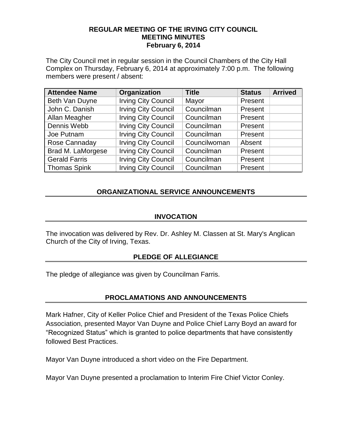#### **REGULAR MEETING OF THE IRVING CITY COUNCIL MEETING MINUTES February 6, 2014**

The City Council met in regular session in the Council Chambers of the City Hall Complex on Thursday, February 6, 2014 at approximately 7:00 p.m. The following members were present / absent:

| <b>Attendee Name</b> | Organization               | <b>Title</b> | <b>Status</b> | <b>Arrived</b> |
|----------------------|----------------------------|--------------|---------------|----------------|
| Beth Van Duyne       | <b>Irving City Council</b> | Mayor        | Present       |                |
| John C. Danish       | <b>Irving City Council</b> | Councilman   | Present       |                |
| Allan Meagher        | <b>Irving City Council</b> | Councilman   | Present       |                |
| Dennis Webb          | <b>Irving City Council</b> | Councilman   | Present       |                |
| Joe Putnam           | <b>Irving City Council</b> | Councilman   | Present       |                |
| Rose Cannaday        | <b>Irving City Council</b> | Councilwoman | Absent        |                |
| Brad M. LaMorgese    | <b>Irving City Council</b> | Councilman   | Present       |                |
| <b>Gerald Farris</b> | <b>Irving City Council</b> | Councilman   | Present       |                |
| <b>Thomas Spink</b>  | <b>Irving City Council</b> | Councilman   | Present       |                |

## **ORGANIZATIONAL SERVICE ANNOUNCEMENTS**

## **INVOCATION**

The invocation was delivered by Rev. Dr. Ashley M. Classen at St. Mary's Anglican Church of the City of Irving, Texas.

## **PLEDGE OF ALLEGIANCE**

The pledge of allegiance was given by Councilman Farris.

## **PROCLAMATIONS AND ANNOUNCEMENTS**

Mark Hafner, City of Keller Police Chief and President of the Texas Police Chiefs Association, presented Mayor Van Duyne and Police Chief Larry Boyd an award for "Recognized Status" which is granted to police departments that have consistently followed Best Practices.

Mayor Van Duyne introduced a short video on the Fire Department.

Mayor Van Duyne presented a proclamation to Interim Fire Chief Victor Conley.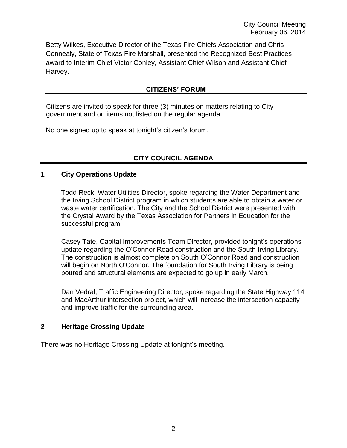Betty Wilkes, Executive Director of the Texas Fire Chiefs Association and Chris Connealy, State of Texas Fire Marshall, presented the Recognized Best Practices award to Interim Chief Victor Conley, Assistant Chief Wilson and Assistant Chief Harvey.

# **CITIZENS' FORUM**

Citizens are invited to speak for three (3) minutes on matters relating to City government and on items not listed on the regular agenda.

No one signed up to speak at tonight's citizen's forum.

# **CITY COUNCIL AGENDA**

## **1 City Operations Update**

Todd Reck, Water Utilities Director, spoke regarding the Water Department and the Irving School District program in which students are able to obtain a water or waste water certification. The City and the School District were presented with the Crystal Award by the Texas Association for Partners in Education for the successful program.

Casey Tate, Capital Improvements Team Director, provided tonight's operations update regarding the O'Connor Road construction and the South Irving Library. The construction is almost complete on South O'Connor Road and construction will begin on North O'Connor. The foundation for South Irving Library is being poured and structural elements are expected to go up in early March.

Dan Vedral, Traffic Engineering Director, spoke regarding the State Highway 114 and MacArthur intersection project, which will increase the intersection capacity and improve traffic for the surrounding area.

## **2 Heritage Crossing Update**

There was no Heritage Crossing Update at tonight's meeting.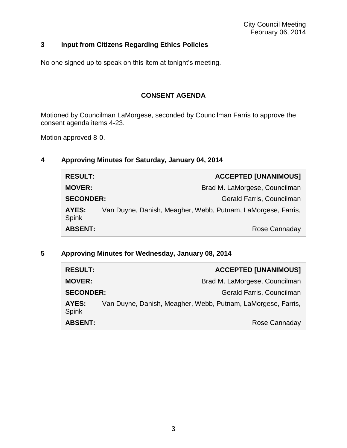# **3 Input from Citizens Regarding Ethics Policies**

No one signed up to speak on this item at tonight's meeting.

## **CONSENT AGENDA**

Motioned by Councilman LaMorgese, seconded by Councilman Farris to approve the consent agenda items 4-23.

Motion approved 8-0.

## **4 Approving Minutes for Saturday, January 04, 2014**

| <b>RESULT:</b>        | <b>ACCEPTED [UNANIMOUS]</b>                                  |               |
|-----------------------|--------------------------------------------------------------|---------------|
| <b>MOVER:</b>         | Brad M. LaMorgese, Councilman                                |               |
| <b>SECONDER:</b>      | Gerald Farris, Councilman                                    |               |
| AYES:<br><b>Spink</b> | Van Duyne, Danish, Meagher, Webb, Putnam, LaMorgese, Farris, |               |
| <b>ABSENT:</b>        |                                                              | Rose Cannaday |

**5 Approving Minutes for Wednesday, January 08, 2014**

| <b>RESULT:</b>        |                                                              | <b>ACCEPTED [UNANIMOUS]</b>   |
|-----------------------|--------------------------------------------------------------|-------------------------------|
| <b>MOVER:</b>         |                                                              | Brad M. LaMorgese, Councilman |
| <b>SECONDER:</b>      |                                                              | Gerald Farris, Councilman     |
| AYES:<br><b>Spink</b> | Van Duyne, Danish, Meagher, Webb, Putnam, LaMorgese, Farris, |                               |
| <b>ABSENT:</b>        |                                                              | Rose Cannaday                 |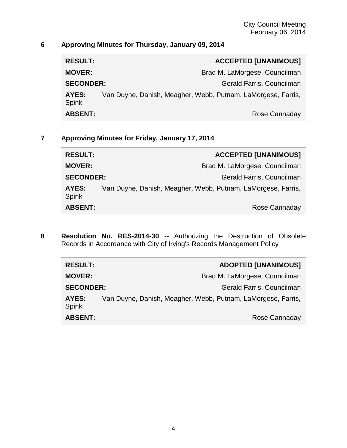# **6 Approving Minutes for Thursday, January 09, 2014**

| <b>RESULT:</b>        | <b>ACCEPTED [UNANIMOUS]</b>                                  |
|-----------------------|--------------------------------------------------------------|
| <b>MOVER:</b>         | Brad M. LaMorgese, Councilman                                |
| <b>SECONDER:</b>      | Gerald Farris, Councilman                                    |
| AYES:<br><b>Spink</b> | Van Duyne, Danish, Meagher, Webb, Putnam, LaMorgese, Farris, |
| <b>ABSENT:</b>        | Rose Cannaday                                                |

**7 Approving Minutes for Friday, January 17, 2014**

| <b>RESULT:</b>        |                                                              | <b>ACCEPTED [UNANIMOUS]</b>   |
|-----------------------|--------------------------------------------------------------|-------------------------------|
| <b>MOVER:</b>         |                                                              | Brad M. LaMorgese, Councilman |
| <b>SECONDER:</b>      |                                                              | Gerald Farris, Councilman     |
| AYES:<br><b>Spink</b> | Van Duyne, Danish, Meagher, Webb, Putnam, LaMorgese, Farris, |                               |
| <b>ABSENT:</b>        |                                                              | Rose Cannaday                 |

**8 Resolution No. RES-2014-30 --** Authorizing the Destruction of Obsolete Records in Accordance with City of Irving's Records Management Policy

| <b>RESULT:</b>        |                                                              | <b>ADOPTED [UNANIMOUS]</b> |
|-----------------------|--------------------------------------------------------------|----------------------------|
| <b>MOVER:</b>         | Brad M. LaMorgese, Councilman                                |                            |
| <b>SECONDER:</b>      |                                                              | Gerald Farris, Councilman  |
| AYES:<br><b>Spink</b> | Van Duyne, Danish, Meagher, Webb, Putnam, LaMorgese, Farris, |                            |
| <b>ABSENT:</b>        |                                                              | Rose Cannaday              |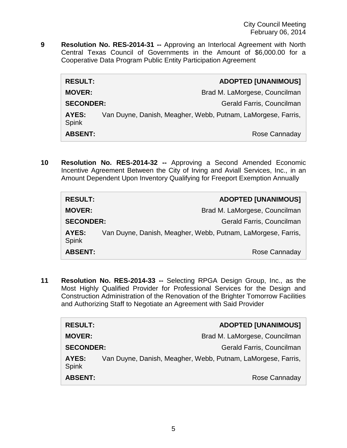**9 Resolution No. RES-2014-31 --** Approving an Interlocal Agreement with North Central Texas Council of Governments in the Amount of \$6,000.00 for a Cooperative Data Program Public Entity Participation Agreement

| <b>RESULT:</b>               | <b>ADOPTED [UNANIMOUS]</b>                                   |
|------------------------------|--------------------------------------------------------------|
| <b>MOVER:</b>                | Brad M. LaMorgese, Councilman                                |
| <b>SECONDER:</b>             | Gerald Farris, Councilman                                    |
| <b>AYES:</b><br><b>Spink</b> | Van Duyne, Danish, Meagher, Webb, Putnam, LaMorgese, Farris, |
| <b>ABSENT:</b>               | Rose Cannaday                                                |

**10 Resolution No. RES-2014-32 --** Approving a Second Amended Economic Incentive Agreement Between the City of Irving and Aviall Services, Inc., in an Amount Dependent Upon Inventory Qualifying for Freeport Exemption Annually

| <b>RESULT:</b>        | <b>ADOPTED [UNANIMOUS]</b>                                   |
|-----------------------|--------------------------------------------------------------|
| <b>MOVER:</b>         | Brad M. LaMorgese, Councilman                                |
| <b>SECONDER:</b>      | Gerald Farris, Councilman                                    |
| AYES:<br><b>Spink</b> | Van Duyne, Danish, Meagher, Webb, Putnam, LaMorgese, Farris, |
| <b>ABSENT:</b>        | Rose Cannaday                                                |

**11 Resolution No. RES-2014-33 --** Selecting RPGA Design Group, Inc., as the Most Highly Qualified Provider for Professional Services for the Design and Construction Administration of the Renovation of the Brighter Tomorrow Facilities and Authorizing Staff to Negotiate an Agreement with Said Provider

| <b>RESULT:</b>        | <b>ADOPTED [UNANIMOUS]</b>                                   |
|-----------------------|--------------------------------------------------------------|
| <b>MOVER:</b>         | Brad M. LaMorgese, Councilman                                |
| <b>SECONDER:</b>      | Gerald Farris, Councilman                                    |
| AYES:<br><b>Spink</b> | Van Duyne, Danish, Meagher, Webb, Putnam, LaMorgese, Farris, |
| <b>ABSENT:</b>        | Rose Cannaday                                                |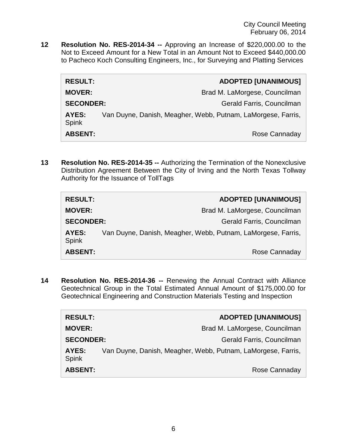**12 Resolution No. RES-2014-34 --** Approving an Increase of \$220,000.00 to the Not to Exceed Amount for a New Total in an Amount Not to Exceed \$440,000.00 to Pacheco Koch Consulting Engineers, Inc., for Surveying and Platting Services

| <b>RESULT:</b>               | <b>ADOPTED [UNANIMOUS]</b>                                   |
|------------------------------|--------------------------------------------------------------|
| <b>MOVER:</b>                | Brad M. LaMorgese, Councilman                                |
| <b>SECONDER:</b>             | Gerald Farris, Councilman                                    |
| <b>AYES:</b><br><b>Spink</b> | Van Duyne, Danish, Meagher, Webb, Putnam, LaMorgese, Farris, |
| <b>ABSENT:</b>               | Rose Cannaday                                                |

**13 Resolution No. RES-2014-35 --** Authorizing the Termination of the Nonexclusive Distribution Agreement Between the City of Irving and the North Texas Tollway Authority for the Issuance of TollTags

| <b>RESULT:</b>        | <b>ADOPTED [UNANIMOUS]</b>                                   |
|-----------------------|--------------------------------------------------------------|
| <b>MOVER:</b>         | Brad M. LaMorgese, Councilman                                |
| <b>SECONDER:</b>      | Gerald Farris, Councilman                                    |
| AYES:<br><b>Spink</b> | Van Duyne, Danish, Meagher, Webb, Putnam, LaMorgese, Farris, |
| <b>ABSENT:</b>        | Rose Cannaday                                                |

**14 Resolution No. RES-2014-36 --** Renewing the Annual Contract with Alliance Geotechnical Group in the Total Estimated Annual Amount of \$175,000.00 for Geotechnical Engineering and Construction Materials Testing and Inspection

| <b>RESULT:</b>        | <b>ADOPTED [UNANIMOUS]</b>                                   |
|-----------------------|--------------------------------------------------------------|
| <b>MOVER:</b>         | Brad M. LaMorgese, Councilman                                |
| <b>SECONDER:</b>      | Gerald Farris, Councilman                                    |
| AYES:<br><b>Spink</b> | Van Duyne, Danish, Meagher, Webb, Putnam, LaMorgese, Farris, |
| <b>ABSENT:</b>        | Rose Cannaday                                                |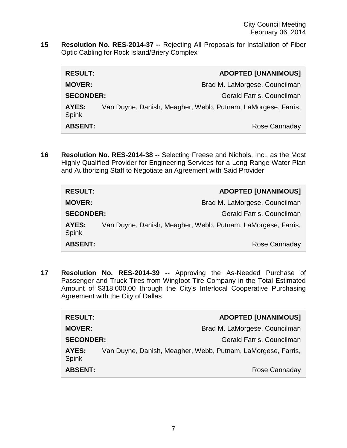**15 Resolution No. RES-2014-37 --** Rejecting All Proposals for Installation of Fiber Optic Cabling for Rock Island/Briery Complex

| <b>RESULT:</b>        | <b>ADOPTED [UNANIMOUS]</b>                                   |
|-----------------------|--------------------------------------------------------------|
| <b>MOVER:</b>         | Brad M. LaMorgese, Councilman                                |
| <b>SECONDER:</b>      | Gerald Farris, Councilman                                    |
| AYES:<br><b>Spink</b> | Van Duyne, Danish, Meagher, Webb, Putnam, LaMorgese, Farris, |
| <b>ABSENT:</b>        | Rose Cannaday                                                |

**16 Resolution No. RES-2014-38 --** Selecting Freese and Nichols, Inc., as the Most Highly Qualified Provider for Engineering Services for a Long Range Water Plan and Authorizing Staff to Negotiate an Agreement with Said Provider

| <b>RESULT:</b>               | <b>ADOPTED [UNANIMOUS]</b>                                   |
|------------------------------|--------------------------------------------------------------|
| <b>MOVER:</b>                | Brad M. LaMorgese, Councilman                                |
| <b>SECONDER:</b>             | Gerald Farris, Councilman                                    |
| <b>AYES:</b><br><b>Spink</b> | Van Duyne, Danish, Meagher, Webb, Putnam, LaMorgese, Farris, |
| <b>ABSENT:</b>               | Rose Cannaday                                                |

**17 Resolution No. RES-2014-39 --** Approving the As-Needed Purchase of Passenger and Truck Tires from Wingfoot Tire Company in the Total Estimated Amount of \$318,000.00 through the City's Interlocal Cooperative Purchasing Agreement with the City of Dallas

| <b>RESULT:</b>               | <b>ADOPTED [UNANIMOUS]</b>                                   |
|------------------------------|--------------------------------------------------------------|
| <b>MOVER:</b>                | Brad M. LaMorgese, Councilman                                |
| <b>SECONDER:</b>             | Gerald Farris, Councilman                                    |
| <b>AYES:</b><br><b>Spink</b> | Van Duyne, Danish, Meagher, Webb, Putnam, LaMorgese, Farris, |
| <b>ABSENT:</b>               | Rose Cannaday                                                |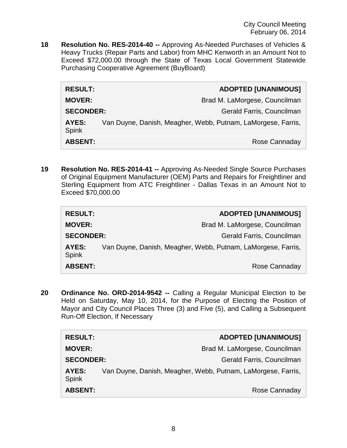**18 Resolution No. RES-2014-40 --** Approving As-Needed Purchases of Vehicles & Heavy Trucks (Repair Parts and Labor) from MHC Kenworth in an Amount Not to Exceed \$72,000.00 through the State of Texas Local Government Statewide Purchasing Cooperative Agreement (BuyBoard)

| <b>RESULT:</b>        | <b>ADOPTED [UNANIMOUS]</b>                                   |
|-----------------------|--------------------------------------------------------------|
| <b>MOVER:</b>         | Brad M. LaMorgese, Councilman                                |
| <b>SECONDER:</b>      | Gerald Farris, Councilman                                    |
| AYES:<br><b>Spink</b> | Van Duyne, Danish, Meagher, Webb, Putnam, LaMorgese, Farris, |
| <b>ABSENT:</b>        | Rose Cannaday                                                |

**19 Resolution No. RES-2014-41 --** Approving As-Needed Single Source Purchases of Original Equipment Manufacturer (OEM) Parts and Repairs for Freightliner and Sterling Equipment from ATC Freightliner - Dallas Texas in an Amount Not to Exceed \$70,000.00

| <b>RESULT:</b>        | <b>ADOPTED [UNANIMOUS]</b>                                   |
|-----------------------|--------------------------------------------------------------|
| <b>MOVER:</b>         | Brad M. LaMorgese, Councilman                                |
| <b>SECONDER:</b>      | Gerald Farris, Councilman                                    |
| <b>AYES:</b><br>Spink | Van Duyne, Danish, Meagher, Webb, Putnam, LaMorgese, Farris, |
| <b>ABSENT:</b>        | Rose Cannaday                                                |

**20 Ordinance No. ORD-2014-9542 --** Calling a Regular Municipal Election to be Held on Saturday, May 10, 2014, for the Purpose of Electing the Position of Mayor and City Council Places Three (3) and Five (5), and Calling a Subsequent Run-Off Election, If Necessary

| <b>RESULT:</b>        |                                                              | <b>ADOPTED [UNANIMOUS]</b>    |
|-----------------------|--------------------------------------------------------------|-------------------------------|
| <b>MOVER:</b>         |                                                              | Brad M. LaMorgese, Councilman |
| <b>SECONDER:</b>      |                                                              | Gerald Farris, Councilman     |
| AYES:<br><b>Spink</b> | Van Duyne, Danish, Meagher, Webb, Putnam, LaMorgese, Farris, |                               |
| <b>ABSENT:</b>        |                                                              | Rose Cannaday                 |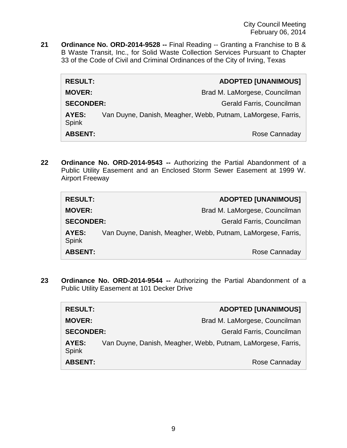**21 Ordinance No. ORD-2014-9528 --** Final Reading -- Granting a Franchise to B & B Waste Transit, Inc., for Solid Waste Collection Services Pursuant to Chapter 33 of the Code of Civil and Criminal Ordinances of the City of Irving, Texas

| <b>RESULT:</b>        | <b>ADOPTED [UNANIMOUS]</b>                                   |
|-----------------------|--------------------------------------------------------------|
| <b>MOVER:</b>         | Brad M. LaMorgese, Councilman                                |
| <b>SECONDER:</b>      | Gerald Farris, Councilman                                    |
| AYES:<br><b>Spink</b> | Van Duyne, Danish, Meagher, Webb, Putnam, LaMorgese, Farris, |
| <b>ABSENT:</b>        | Rose Cannaday                                                |

**22 Ordinance No. ORD-2014-9543 --** Authorizing the Partial Abandonment of a Public Utility Easement and an Enclosed Storm Sewer Easement at 1999 W. Airport Freeway

| <b>RESULT:</b>        | <b>ADOPTED [UNANIMOUS]</b>                                   |               |
|-----------------------|--------------------------------------------------------------|---------------|
| <b>MOVER:</b>         | Brad M. LaMorgese, Councilman                                |               |
| <b>SECONDER:</b>      | Gerald Farris, Councilman                                    |               |
| AYES:<br><b>Spink</b> | Van Duyne, Danish, Meagher, Webb, Putnam, LaMorgese, Farris, |               |
| <b>ABSENT:</b>        |                                                              | Rose Cannaday |

**23 Ordinance No. ORD-2014-9544 --** Authorizing the Partial Abandonment of a Public Utility Easement at 101 Decker Drive

| <b>RESULT:</b>        |                                                              | <b>ADOPTED [UNANIMOUS]</b>    |
|-----------------------|--------------------------------------------------------------|-------------------------------|
| <b>MOVER:</b>         |                                                              | Brad M. LaMorgese, Councilman |
| <b>SECONDER:</b>      |                                                              | Gerald Farris, Councilman     |
| AYES:<br><b>Spink</b> | Van Duyne, Danish, Meagher, Webb, Putnam, LaMorgese, Farris, |                               |
| <b>ABSENT:</b>        |                                                              | Rose Cannaday                 |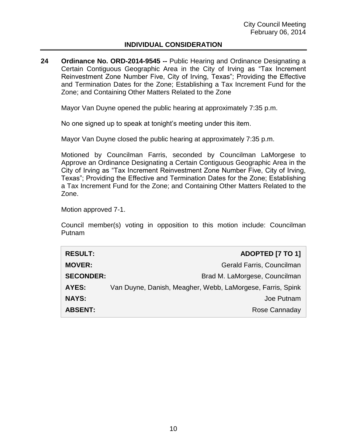## **INDIVIDUAL CONSIDERATION**

**24 Ordinance No. ORD-2014-9545 --** Public Hearing and Ordinance Designating a Certain Contiguous Geographic Area in the City of Irving as "Tax Increment Reinvestment Zone Number Five, City of Irving, Texas"; Providing the Effective and Termination Dates for the Zone; Establishing a Tax Increment Fund for the Zone; and Containing Other Matters Related to the Zone

Mayor Van Duyne opened the public hearing at approximately 7:35 p.m.

No one signed up to speak at tonight's meeting under this item.

Mayor Van Duyne closed the public hearing at approximately 7:35 p.m.

Motioned by Councilman Farris, seconded by Councilman LaMorgese to Approve an Ordinance Designating a Certain Contiguous Geographic Area in the City of Irving as "Tax Increment Reinvestment Zone Number Five, City of Irving, Texas"; Providing the Effective and Termination Dates for the Zone; Establishing a Tax Increment Fund for the Zone; and Containing Other Matters Related to the Zone.

Motion approved 7-1.

Council member(s) voting in opposition to this motion include: Councilman Putnam

| <b>RESULT:</b>   | <b>ADOPTED [7 TO 1]</b>                                    |
|------------------|------------------------------------------------------------|
| <b>MOVER:</b>    | Gerald Farris, Councilman                                  |
| <b>SECONDER:</b> | Brad M. LaMorgese, Councilman                              |
| <b>AYES:</b>     | Van Duyne, Danish, Meagher, Webb, LaMorgese, Farris, Spink |
| <b>NAYS:</b>     | Joe Putnam                                                 |
| <b>ABSENT:</b>   | Rose Cannaday                                              |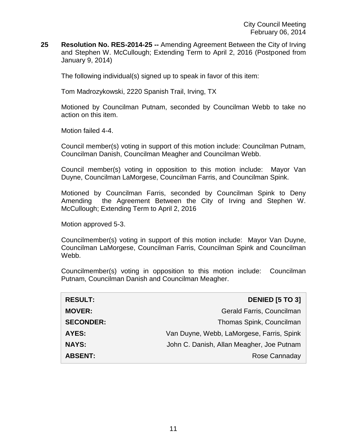**25 Resolution No. RES-2014-25 --** Amending Agreement Between the City of Irving and Stephen W. McCullough; Extending Term to April 2, 2016 (Postponed from January 9, 2014)

The following individual(s) signed up to speak in favor of this item:

Tom Madrozykowski, 2220 Spanish Trail, Irving, TX

Motioned by Councilman Putnam, seconded by Councilman Webb to take no action on this item.

Motion failed 4-4.

Council member(s) voting in support of this motion include: Councilman Putnam, Councilman Danish, Councilman Meagher and Councilman Webb.

Council member(s) voting in opposition to this motion include: Mayor Van Duyne, Councilman LaMorgese, Councilman Farris, and Councilman Spink.

Motioned by Councilman Farris, seconded by Councilman Spink to Deny Amending the Agreement Between the City of Irving and Stephen W. McCullough; Extending Term to April 2, 2016

Motion approved 5-3.

Councilmember(s) voting in support of this motion include: Mayor Van Duyne, Councilman LaMorgese, Councilman Farris, Councilman Spink and Councilman Webb.

Councilmember(s) voting in opposition to this motion include: Councilman Putnam, Councilman Danish and Councilman Meagher.

| <b>RESULT:</b>   | <b>DENIED [5 TO 3]</b>                    |
|------------------|-------------------------------------------|
| <b>MOVER:</b>    | Gerald Farris, Councilman                 |
| <b>SECONDER:</b> | Thomas Spink, Councilman                  |
| <b>AYES:</b>     | Van Duyne, Webb, LaMorgese, Farris, Spink |
| <b>NAYS:</b>     | John C. Danish, Allan Meagher, Joe Putnam |
| <b>ABSENT:</b>   | Rose Cannaday                             |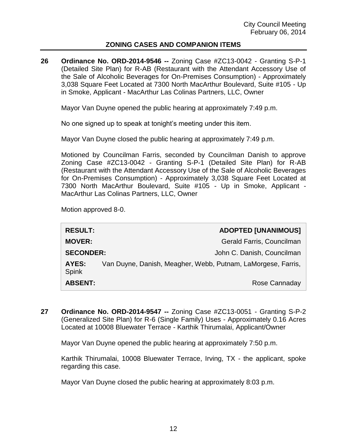## **ZONING CASES AND COMPANION ITEMS**

**26 Ordinance No. ORD-2014-9546 --** Zoning Case #ZC13-0042 - Granting S-P-1 (Detailed Site Plan) for R-AB (Restaurant with the Attendant Accessory Use of the Sale of Alcoholic Beverages for On-Premises Consumption) - Approximately 3,038 Square Feet Located at 7300 North MacArthur Boulevard, Suite #105 - Up in Smoke, Applicant - MacArthur Las Colinas Partners, LLC, Owner

Mayor Van Duyne opened the public hearing at approximately 7:49 p.m.

No one signed up to speak at tonight's meeting under this item.

Mayor Van Duyne closed the public hearing at approximately 7:49 p.m.

Motioned by Councilman Farris, seconded by Councilman Danish to approve Zoning Case #ZC13-0042 - Granting S-P-1 (Detailed Site Plan) for R-AB (Restaurant with the Attendant Accessory Use of the Sale of Alcoholic Beverages for On-Premises Consumption) - Approximately 3,038 Square Feet Located at 7300 North MacArthur Boulevard, Suite #105 - Up in Smoke, Applicant - MacArthur Las Colinas Partners, LLC, Owner

Motion approved 8-0.

| <b>RESULT:</b>        |                                                              | <b>ADOPTED [UNANIMOUS]</b> |
|-----------------------|--------------------------------------------------------------|----------------------------|
| <b>MOVER:</b>         |                                                              | Gerald Farris, Councilman  |
| <b>SECONDER:</b>      |                                                              | John C. Danish, Councilman |
| AYES:<br><b>Spink</b> | Van Duyne, Danish, Meagher, Webb, Putnam, LaMorgese, Farris, |                            |
| <b>ABSENT:</b>        |                                                              | Rose Cannaday              |

**27 Ordinance No. ORD-2014-9547 --** Zoning Case #ZC13-0051 - Granting S-P-2 (Generalized Site Plan) for R-6 (Single Family) Uses - Approximately 0.16 Acres Located at 10008 Bluewater Terrace - Karthik Thirumalai, Applicant/Owner

Mayor Van Duyne opened the public hearing at approximately 7:50 p.m.

Karthik Thirumalai, 10008 Bluewater Terrace, Irving, TX - the applicant, spoke regarding this case.

Mayor Van Duyne closed the public hearing at approximately 8:03 p.m.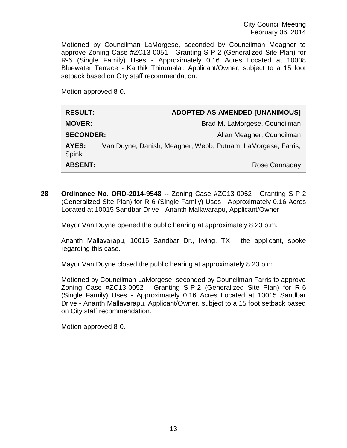Motioned by Councilman LaMorgese, seconded by Councilman Meagher to approve Zoning Case #ZC13-0051 - Granting S-P-2 (Generalized Site Plan) for R-6 (Single Family) Uses - Approximately 0.16 Acres Located at 10008 Bluewater Terrace - Karthik Thirumalai, Applicant/Owner, subject to a 15 foot setback based on City staff recommendation.

Motion approved 8-0.

| <b>RESULT:</b>        | <b>ADOPTED AS AMENDED [UNANIMOUS]</b>                        |
|-----------------------|--------------------------------------------------------------|
| <b>MOVER:</b>         | Brad M. LaMorgese, Councilman                                |
| <b>SECONDER:</b>      | Allan Meagher, Councilman                                    |
| <b>AYES:</b><br>Spink | Van Duyne, Danish, Meagher, Webb, Putnam, LaMorgese, Farris, |
| <b>ABSENT:</b>        | Rose Cannaday                                                |

**28 Ordinance No. ORD-2014-9548 --** Zoning Case #ZC13-0052 - Granting S-P-2 (Generalized Site Plan) for R-6 (Single Family) Uses - Approximately 0.16 Acres Located at 10015 Sandbar Drive - Ananth Mallavarapu, Applicant/Owner

Mayor Van Duyne opened the public hearing at approximately 8:23 p.m.

Ananth Mallavarapu, 10015 Sandbar Dr., Irving, TX - the applicant, spoke regarding this case.

Mayor Van Duyne closed the public hearing at approximately 8:23 p.m.

Motioned by Councilman LaMorgese, seconded by Councilman Farris to approve Zoning Case #ZC13-0052 - Granting S-P-2 (Generalized Site Plan) for R-6 (Single Family) Uses - Approximately 0.16 Acres Located at 10015 Sandbar Drive - Ananth Mallavarapu, Applicant/Owner, subject to a 15 foot setback based on City staff recommendation.

Motion approved 8-0.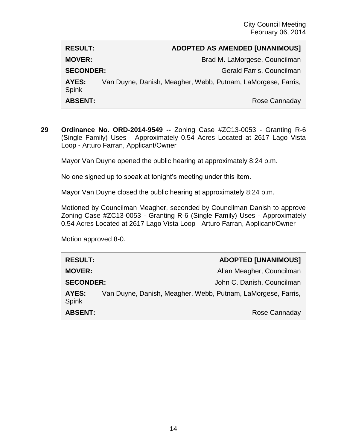# **RESULT: ADOPTED AS AMENDED [UNANIMOUS] MOVER:** Brad M. LaMorgese, Councilman **SECONDER:** Gerald Farris, Councilman **AYES:** Van Duyne, Danish, Meagher, Webb, Putnam, LaMorgese, Farris, Spink **ABSENT:** Rose Cannaday

**29 Ordinance No. ORD-2014-9549 --** Zoning Case #ZC13-0053 - Granting R-6 (Single Family) Uses - Approximately 0.54 Acres Located at 2617 Lago Vista Loop - Arturo Farran, Applicant/Owner

Mayor Van Duyne opened the public hearing at approximately 8:24 p.m.

No one signed up to speak at tonight's meeting under this item.

Mayor Van Duyne closed the public hearing at approximately 8:24 p.m.

Motioned by Councilman Meagher, seconded by Councilman Danish to approve Zoning Case #ZC13-0053 - Granting R-6 (Single Family) Uses - Approximately 0.54 Acres Located at 2617 Lago Vista Loop - Arturo Farran, Applicant/Owner

Motion approved 8-0.

| <b>RESULT:</b>        | <b>ADOPTED [UNANIMOUS]</b>                                   |
|-----------------------|--------------------------------------------------------------|
| <b>MOVER:</b>         | Allan Meagher, Councilman                                    |
| <b>SECONDER:</b>      | John C. Danish, Councilman                                   |
| AYES:<br><b>Spink</b> | Van Duyne, Danish, Meagher, Webb, Putnam, LaMorgese, Farris, |
| <b>ABSENT:</b>        | Rose Cannaday                                                |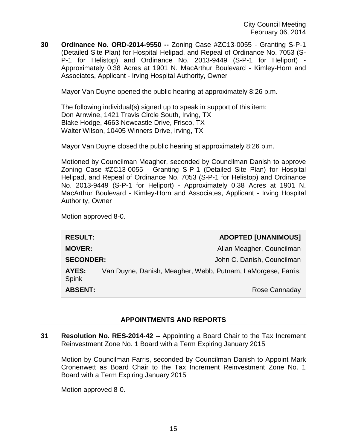**30 Ordinance No. ORD-2014-9550 --** Zoning Case #ZC13-0055 - Granting S-P-1 (Detailed Site Plan) for Hospital Helipad, and Repeal of Ordinance No. 7053 (S-P-1 for Helistop) and Ordinance No. 2013-9449 (S-P-1 for Heliport) - Approximately 0.38 Acres at 1901 N. MacArthur Boulevard - Kimley-Horn and Associates, Applicant - Irving Hospital Authority, Owner

Mayor Van Duyne opened the public hearing at approximately 8:26 p.m.

The following individual(s) signed up to speak in support of this item: Don Arnwine, 1421 Travis Circle South, Irving, TX Blake Hodge, 4663 Newcastle Drive, Frisco, TX Walter Wilson, 10405 Winners Drive, Irving, TX

Mayor Van Duyne closed the public hearing at approximately 8:26 p.m.

Motioned by Councilman Meagher, seconded by Councilman Danish to approve Zoning Case #ZC13-0055 - Granting S-P-1 (Detailed Site Plan) for Hospital Helipad, and Repeal of Ordinance No. 7053 (S-P-1 for Helistop) and Ordinance No. 2013-9449 (S-P-1 for Heliport) - Approximately 0.38 Acres at 1901 N. MacArthur Boulevard - Kimley-Horn and Associates, Applicant - Irving Hospital Authority, Owner

Motion approved 8-0.

| <b>RESULT:</b>   |                                                              | <b>ADOPTED [UNANIMOUS]</b> |
|------------------|--------------------------------------------------------------|----------------------------|
| <b>MOVER:</b>    |                                                              | Allan Meagher, Councilman  |
| <b>SECONDER:</b> |                                                              | John C. Danish, Councilman |
| AYES:<br>Spink   | Van Duyne, Danish, Meagher, Webb, Putnam, LaMorgese, Farris, |                            |
| <b>ABSENT:</b>   |                                                              | Rose Cannaday              |

## **APPOINTMENTS AND REPORTS**

**31 Resolution No. RES-2014-42 --** Appointing a Board Chair to the Tax Increment Reinvestment Zone No. 1 Board with a Term Expiring January 2015

Motion by Councilman Farris, seconded by Councilman Danish to Appoint Mark Cronenwett as Board Chair to the Tax Increment Reinvestment Zone No. 1 Board with a Term Expiring January 2015

Motion approved 8-0.